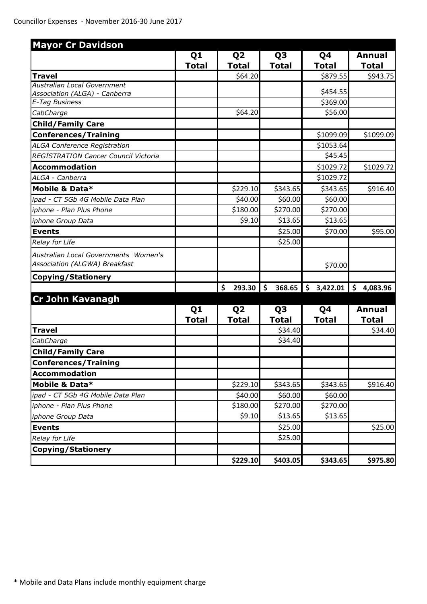| <b>Mayor Cr Davidson</b>                                              |                |                |                         |                                 |                |
|-----------------------------------------------------------------------|----------------|----------------|-------------------------|---------------------------------|----------------|
|                                                                       | Q <sub>1</sub> | Q <sub>2</sub> | Q <sub>3</sub>          | Q4                              | Annual         |
|                                                                       | <b>Total</b>   | <b>Total</b>   | <b>Total</b>            | <b>Total</b>                    | <b>Total</b>   |
| <b>Travel</b>                                                         |                | \$64.20        |                         | \$879.55                        | \$943.75       |
| Australian Local Government                                           |                |                |                         |                                 |                |
| Association (ALGA) - Canberra                                         |                |                |                         | \$454.55<br>\$369.00            |                |
| <b>E-Tag Business</b>                                                 |                | \$64.20        |                         | \$56.00                         |                |
| CabCharge                                                             |                |                |                         |                                 |                |
| <b>Child/Family Care</b>                                              |                |                |                         |                                 |                |
| <b>Conferences/Training</b>                                           |                |                |                         | \$1099.09                       | \$1099.09      |
| <b>ALGA Conference Registration</b>                                   |                |                |                         | \$1053.64                       |                |
| REGISTRATION Cancer Council Victoria                                  |                |                |                         | \$45.45                         |                |
| <b>Accommodation</b>                                                  |                |                |                         | \$1029.72                       | \$1029.72      |
| ALGA - Canberra                                                       |                |                |                         | \$1029.72                       |                |
| Mobile & Data*                                                        |                | \$229.10       | \$343.65                | \$343.65                        | \$916.40       |
| ipad - CT 5Gb 4G Mobile Data Plan                                     |                | \$40.00        | \$60.00                 | \$60.00                         |                |
| iphone - Plan Plus Phone                                              |                | \$180.00       | \$270.00                | \$270.00                        |                |
| iphone Group Data                                                     |                | \$9.10         | \$13.65                 | \$13.65                         |                |
| <b>Events</b>                                                         |                |                | \$25.00                 | \$70.00                         | \$95.00        |
| Relay for Life                                                        |                |                | \$25.00                 |                                 |                |
| Australian Local Governments Women's<br>Association (ALGWA) Breakfast |                |                |                         | \$70.00                         |                |
| <b>Copying/Stationery</b>                                             |                |                |                         |                                 |                |
|                                                                       |                | 293.30<br>\$   | 368.65<br>$\mathsf{\$}$ | $\ddot{\bm{\zeta}}$<br>3,422.01 | \$<br>4,083.96 |
| <b>Cr John Kavanagh</b>                                               |                |                |                         |                                 |                |
|                                                                       | Q <sub>1</sub> | Q <sub>2</sub> | Q <sub>3</sub>          | Q4                              | Annual         |
|                                                                       | <b>Total</b>   | <b>Total</b>   | <b>Total</b>            | <b>Total</b>                    | <b>Total</b>   |
| <b>Travel</b>                                                         |                |                | \$34.40                 |                                 | \$34.40        |
| CabCharge                                                             |                |                | \$34.40                 |                                 |                |
| <b>Child/Family Care</b>                                              |                |                |                         |                                 |                |
| Conferences/Training                                                  |                |                |                         |                                 |                |
| <b>Accommodation</b>                                                  |                |                |                         |                                 |                |
| Mobile & Data*                                                        |                | \$229.10       | \$343.65                | \$343.65                        | \$916.40       |
| ipad - CT 5Gb 4G Mobile Data Plan                                     |                | \$40.00        | \$60.00                 | \$60.00                         |                |
| iphone - Plan Plus Phone                                              |                | \$180.00       | \$270.00                | \$270.00                        |                |
| iphone Group Data                                                     |                | \$9.10         | \$13.65                 | \$13.65                         |                |
| <b>Events</b>                                                         |                |                | \$25.00                 |                                 | \$25.00        |
| Relay for Life                                                        |                |                | \$25.00                 |                                 |                |
| <b>Copying/Stationery</b>                                             |                |                |                         |                                 |                |
|                                                                       |                | \$229.10       | \$403.05                | \$343.65                        | \$975.80       |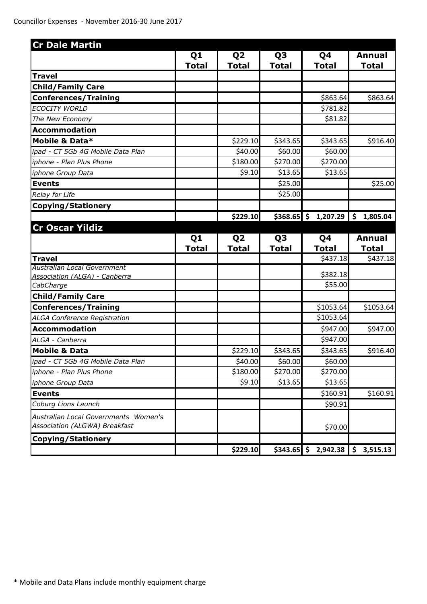| <b>Cr Dale Martin</b>                             |                |                |                |                                   |                |
|---------------------------------------------------|----------------|----------------|----------------|-----------------------------------|----------------|
|                                                   | Q <sub>1</sub> | Q <sub>2</sub> | Q <sub>3</sub> | Q4                                | <b>Annual</b>  |
|                                                   | <b>Total</b>   | <b>Total</b>   | <b>Total</b>   | <b>Total</b>                      | Total          |
| <b>Travel</b>                                     |                |                |                |                                   |                |
| <b>Child/Family Care</b>                          |                |                |                |                                   |                |
| <b>Conferences/Training</b>                       |                |                |                | \$863.64                          | \$863.64       |
| <b>ECOCITY WORLD</b>                              |                |                |                | \$781.82                          |                |
| The New Economy                                   |                |                |                | \$81.82                           |                |
| <b>Accommodation</b>                              |                |                |                |                                   |                |
| Mobile & Data*                                    |                | \$229.10       | \$343.65       | \$343.65                          | \$916.40       |
| ipad - CT 5Gb 4G Mobile Data Plan                 |                | \$40.00        | \$60.00        | \$60.00                           |                |
| iphone - Plan Plus Phone                          |                | \$180.00       | \$270.00       | \$270.00                          |                |
| iphone Group Data                                 |                | \$9.10         | \$13.65        | \$13.65                           |                |
| <b>Events</b>                                     |                |                | \$25.00        |                                   | \$25.00        |
| Relay for Life                                    |                |                | \$25.00        |                                   |                |
| <b>Copying/Stationery</b>                         |                |                |                |                                   |                |
|                                                   |                | \$229.10       | $$368.65$ \$   | 1,207.29                          | 1,805.04<br>\$ |
| <b>Cr Oscar Yildiz</b>                            |                |                |                |                                   |                |
|                                                   | Q <sub>1</sub> | Q <sub>2</sub> | Q <sub>3</sub> | Q4                                | <b>Annual</b>  |
|                                                   | <b>Total</b>   | <b>Total</b>   | <b>Total</b>   | <b>Total</b>                      | <b>Total</b>   |
| <b>Travel</b>                                     |                |                |                | \$437.18                          | \$437.18       |
| Australian Local Government                       |                |                |                | \$382.18                          |                |
| <b>Association (ALGA) - Canberra</b><br>CabCharge |                |                |                | \$55.00                           |                |
| <b>Child/Family Care</b>                          |                |                |                |                                   |                |
| <b>Conferences/Training</b>                       |                |                |                | \$1053.64                         | \$1053.64      |
| <b>ALGA Conference Registration</b>               |                |                |                | \$1053.64                         |                |
| <b>Accommodation</b>                              |                |                |                | \$947.00                          | \$947.00       |
| ALGA - Canberra                                   |                |                |                | \$947.00                          |                |
| <b>Mobile &amp; Data</b>                          |                | \$229.10       | \$343.65       | \$343.65                          | \$916.40       |
| ipad - CT 5Gb 4G Mobile Data Plan                 |                | \$40.00        | \$60.00        | \$60.00                           |                |
| iphone - Plan Plus Phone                          |                | \$180.00       | \$270.00       | \$270.00                          |                |
| iphone Group Data                                 |                | \$9.10         | \$13.65        | \$13.65                           |                |
| <b>Events</b>                                     |                |                |                | \$160.91                          | \$160.91       |
| Coburg Lions Launch                               |                |                |                | \$90.91                           |                |
| Australian Local Governments Women's              |                |                |                |                                   |                |
| Association (ALGWA) Breakfast                     |                |                |                | \$70.00                           |                |
| Copying/Stationery                                |                |                |                |                                   |                |
|                                                   |                | \$229.10       |                | $$343.65$ $$2,942.38$ $$3,515.13$ |                |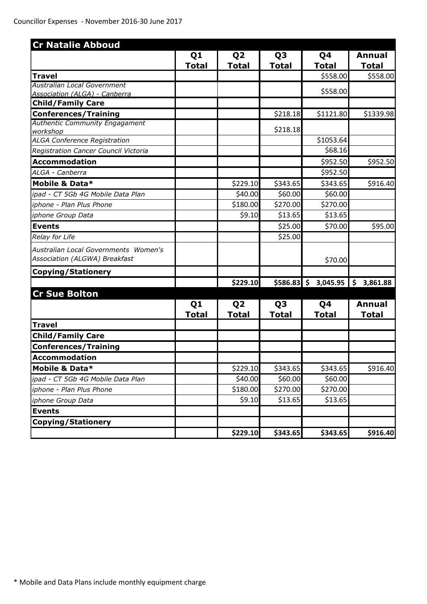| <b>Cr Natalie Abboud</b>                 |                |                |                |                       |                           |
|------------------------------------------|----------------|----------------|----------------|-----------------------|---------------------------|
|                                          | Q <sub>1</sub> | Q <sub>2</sub> | Q <sub>3</sub> | Q4                    | Annual                    |
|                                          | <b>Total</b>   | <b>Total</b>   | <b>Total</b>   | <b>Total</b>          | <b>Total</b>              |
| <b>Travel</b>                            |                |                |                | \$558.00              | \$558.00                  |
| Australian Local Government              |                |                |                |                       |                           |
| Association (ALGA) - Canberra            |                |                |                | \$558.00              |                           |
| <b>Child/Family Care</b>                 |                |                |                |                       |                           |
| <b>Conferences/Training</b>              |                |                | \$218.18       | \$1121.80             | \$1339.98                 |
| <b>Authentic Community Engagament</b>    |                |                | \$218.18       |                       |                           |
| workshop<br>ALGA Conference Registration |                |                |                | \$1053.64             |                           |
| Registration Cancer Council Victoria     |                |                |                | \$68.16               |                           |
| <b>Accommodation</b>                     |                |                |                | \$952.50              | \$952.50                  |
| ALGA - Canberra                          |                |                |                | \$952.50              |                           |
| Mobile & Data*                           |                | \$229.10       | \$343.65       | \$343.65              | \$916.40                  |
| ipad - CT 5Gb 4G Mobile Data Plan        |                | \$40.00        | \$60.00        | \$60.00               |                           |
| iphone - Plan Plus Phone                 |                | \$180.00       | \$270.00       | \$270.00              |                           |
| iphone Group Data                        |                | \$9.10         | \$13.65        | \$13.65               |                           |
| <b>Events</b>                            |                |                | \$25.00        | \$70.00               | \$95.00                   |
| Relay for Life                           |                |                | \$25.00        |                       |                           |
| Australian Local Governments Women's     |                |                |                |                       |                           |
| Association (ALGWA) Breakfast            |                |                |                | \$70.00               |                           |
| <b>Copying/Stationery</b>                |                |                |                |                       |                           |
|                                          |                | \$229.10       |                | $$586.83$ \$ 3,045.95 | $\mathsf{\$}$<br>3,861.88 |
| <b>Cr Sue Bolton</b>                     |                |                |                |                       |                           |
|                                          | Q <sub>1</sub> | Q <sub>2</sub> | Q <sub>3</sub> | Q4                    | <b>Annual</b>             |
|                                          | <b>Total</b>   | <b>Total</b>   | <b>Total</b>   | <b>Total</b>          | <b>Total</b>              |
| <b>Travel</b>                            |                |                |                |                       |                           |
| <b>Child/Family Care</b>                 |                |                |                |                       |                           |
| <b>Conferences/Training</b>              |                |                |                |                       |                           |
| <b>Accommodation</b>                     |                |                |                |                       |                           |
| Mobile & Data*                           |                | \$229.10       | \$343.65       | \$343.65              | \$916.40                  |
| ipad - CT 5Gb 4G Mobile Data Plan        |                | \$40.00        | \$60.00        | \$60.00               |                           |
| iphone - Plan Plus Phone                 |                | \$180.00       | \$270.00       | \$270.00              |                           |
| iphone Group Data                        |                | \$9.10         | \$13.65        | \$13.65               |                           |
| <b>Events</b>                            |                |                |                |                       |                           |
| <b>Copying/Stationery</b>                |                |                |                |                       |                           |
|                                          |                | \$229.10       | \$343.65       | \$343.65              | \$916.40                  |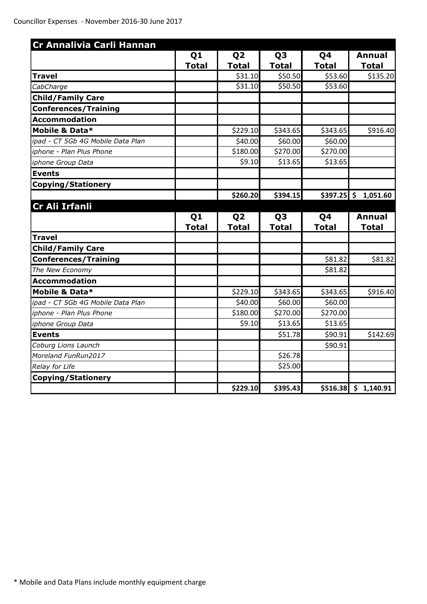| Cr Annalivia Carli Hannan         |                |                |                |              |                       |
|-----------------------------------|----------------|----------------|----------------|--------------|-----------------------|
|                                   | Q <sub>1</sub> | Q <sub>2</sub> | Q <sub>3</sub> | Q4           | <b>Annual</b>         |
|                                   | <b>Total</b>   | <b>Total</b>   | <b>Total</b>   | <b>Total</b> | <b>Total</b>          |
| <b>Travel</b>                     |                | \$31.10        | \$50.50        | \$53.60      | \$135.20              |
| CabCharge                         |                | \$31.10        | \$50.50        | \$53.60      |                       |
| <b>Child/Family Care</b>          |                |                |                |              |                       |
| <b>Conferences/Training</b>       |                |                |                |              |                       |
| <b>Accommodation</b>              |                |                |                |              |                       |
| Mobile & Data*                    |                | \$229.10       | \$343.65       | \$343.65     | \$916.40              |
| ipad - CT 5Gb 4G Mobile Data Plan |                | \$40.00        | \$60.00        | \$60.00      |                       |
| iphone - Plan Plus Phone          |                | \$180.00       | \$270.00       | \$270.00     |                       |
| iphone Group Data                 |                | \$9.10         | \$13.65        | \$13.65      |                       |
| <b>Events</b>                     |                |                |                |              |                       |
| <b>Copying/Stationery</b>         |                |                |                |              |                       |
|                                   |                | \$260.20       | \$394.15       | \$397.25     | \$1,051.60            |
| Cr Ali Irfanli                    |                |                |                |              |                       |
|                                   | Q <sub>1</sub> | Q <sub>2</sub> | Q <sub>3</sub> | Q4           | <b>Annual</b>         |
|                                   | <b>Total</b>   | <b>Total</b>   | <b>Total</b>   | <b>Total</b> | <b>Total</b>          |
| <b>Travel</b>                     |                |                |                |              |                       |
| <b>Child/Family Care</b>          |                |                |                |              |                       |
| <b>Conferences/Training</b>       |                |                |                | \$81.82      | \$81.82               |
| The New Economy                   |                |                |                | \$81.82      |                       |
| <b>Accommodation</b>              |                |                |                |              |                       |
| Mobile & Data*                    |                | \$229.10       | \$343.65       | \$343.65     | \$916.40              |
| ipad - CT 5Gb 4G Mobile Data Plan |                | \$40.00        | \$60.00        | \$60.00      |                       |
| iphone - Plan Plus Phone          |                | \$180.00       | \$270.00       | \$270.00     |                       |
| iphone Group Data                 |                | \$9.10         | \$13.65        | \$13.65      |                       |
| <b>Events</b>                     |                |                | \$51.78        | \$90.91      | \$142.69              |
| Coburg Lions Launch               |                |                |                | \$90.91      |                       |
| Moreland FunRun2017               |                |                | \$26.78        |              |                       |
| Relay for Life                    |                |                | \$25.00        |              |                       |
| <b>Copying/Stationery</b>         |                |                |                |              |                       |
|                                   |                | \$229.10       | \$395.43       |              | $$516.38 \& 1,140.91$ |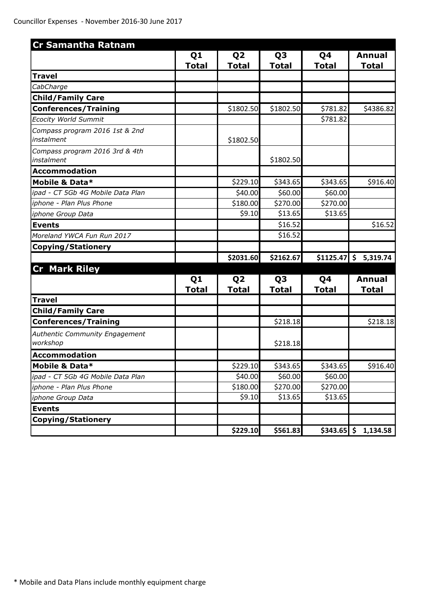| <b>Cr Samantha Ratnam</b>                    |                |                |                |              |                        |
|----------------------------------------------|----------------|----------------|----------------|--------------|------------------------|
|                                              | Q1             | Q <sub>2</sub> | Q <sub>3</sub> | Q4           | <b>Annual</b>          |
|                                              | <b>Total</b>   | <b>Total</b>   | <b>Total</b>   | <b>Total</b> | <b>Total</b>           |
| <b>Travel</b>                                |                |                |                |              |                        |
| CabCharge                                    |                |                |                |              |                        |
| <b>Child/Family Care</b>                     |                |                |                |              |                        |
| <b>Conferences/Training</b>                  |                | \$1802.50      | \$1802.50      | \$781.82     | \$4386.82              |
| <b>Ecocity World Summit</b>                  |                |                |                | \$781.82     |                        |
| Compass program 2016 1st & 2nd<br>instalment |                | \$1802.50      |                |              |                        |
| Compass program 2016 3rd & 4th<br>instalment |                |                | \$1802.50      |              |                        |
| <b>Accommodation</b>                         |                |                |                |              |                        |
| Mobile & Data*                               |                | \$229.10       | \$343.65       | \$343.65     | \$916.40               |
| ipad - CT 5Gb 4G Mobile Data Plan            |                | \$40.00        | \$60.00        | \$60.00      |                        |
| iphone - Plan Plus Phone                     |                | \$180.00       | \$270.00       | \$270.00     |                        |
| iphone Group Data                            |                | \$9.10         | \$13.65        | \$13.65      |                        |
| <b>Events</b>                                |                |                | \$16.52        |              | \$16.52                |
| Moreland YWCA Fun Run 2017                   |                |                | \$16.52        |              |                        |
| <b>Copying/Stationery</b>                    |                |                |                |              |                        |
| <b>Cr Mark Riley</b>                         |                | \$2031.60      | \$2162.67      |              | $$1125.47$ $$5,319.74$ |
|                                              | Q <sub>1</sub> | Q <sub>2</sub> | Q <sub>3</sub> | Q4           | <b>Annual</b>          |
|                                              | <b>Total</b>   | <u>Total</u>   | <u>Total</u>   | <u>Total</u> | <b>Total</b>           |
| <b>Travel</b>                                |                |                |                |              |                        |
| <b>Child/Family Care</b>                     |                |                |                |              |                        |
| <b>Conferences/Training</b>                  |                |                | \$218.18       |              | \$218.18               |
| Authentic Community Engagement<br>workshop   |                |                | \$218.18       |              |                        |
| <b>Accommodation</b>                         |                |                |                |              |                        |
| Mobile & Data*                               |                | \$229.10       | \$343.65       | \$343.65     | \$916.40               |
| ipad - CT 5Gb 4G Mobile Data Plan            |                | \$40.00        | \$60.00        | \$60.00      |                        |
| iphone - Plan Plus Phone                     |                | \$180.00       | \$270.00       | \$270.00     |                        |
| iphone Group Data                            |                | \$9.10         | \$13.65        | \$13.65      |                        |
| <b>Events</b>                                |                |                |                |              |                        |
| <b>Copying/Stationery</b>                    |                |                |                |              |                        |
|                                              |                | \$229.10       | \$561.83       |              | $$343.65$ $$1,134.58$  |